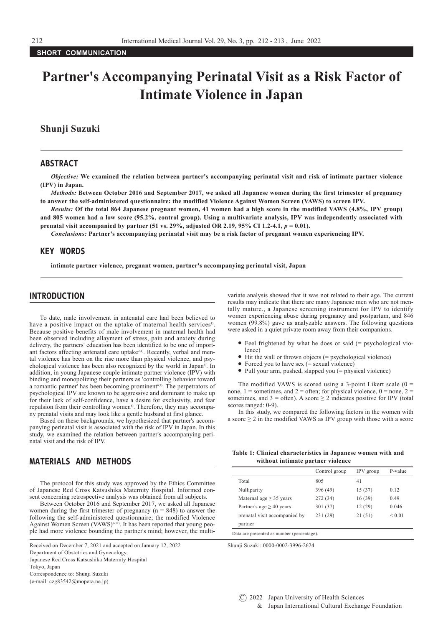# **Partner's Accompanying Perinatal Visit as a Risk Factor of Intimate Violence in Japan**

# **Shunji Suzuki**

## ABSTRACT

*Objective:* **We examined the relation between partner's accompanying perinatal visit and risk of intimate partner violence (IPV) in Japan.**

*Methods:* **Between October 2016 and September 2017, we asked all Japanese women during the first trimester of pregnancy to answer the self-administered questionnaire: the modified Violence Against Women Screen (VAWS) to screen IPV.**

*Results:* **Of the total 864 Japanese pregnant women, 41 women had a high score in the modified VAWS (4.8%, IPV group) and 805 women had a low score (95.2%, control group). Using a multivariate analysis, IPV was independently associated with prenatal visit accompanied by partner (51 vs. 29%, adjusted OR 2.19, 95% CI 1.2-4.1,**  $p = 0.01$ **).** 

*Conclusions:* **Partner's accompanying perinatal visit may be a risk factor of pregnant women experiencing IPV.**

## KEY WORDS

**intimate partner violence, pregnant women, partner's accompanying perinatal visit, Japan**

## INTRODUCTION

To date, male involvement in antenatal care had been believed to have a positive impact on the uptake of maternal health services<sup>1)</sup> Because positive benefits of male involvement in maternal health had been observed including allayment of stress, pain and anxiety during delivery, the partners' education has been identified to be one of important factors affecting antenatal care uptake<sup> $2-4$ </sup>. Recently, verbal and mental violence has been on the rise more than physical violence, and psychological violence has been also recognized by the world in Japan<sup>5)</sup>. In addition, in young Japanese couple intimate partner violence (IPV) with binding and monopolizing their partners as 'controlling behavior toward a romantic partner' has been becoming prominent $6,7$ ). The perpetrators of psychological IPV are known to be aggressive and dominant to make up for their lack of self-confidence, have a desire for exclusivity, and fear repulsion from their controlling women<sup>8)</sup>. Therefore, they may accompany prenatal visits and may look like a gentle husband at first glance.

Based on these backgrounds, we hypothesized that partner's accompanying perinatal visit is associated with the risk of IPV in Japan. In this study, we examined the relation between partner's accompanying perinatal visit and the risk of IPV.

#### MATERIALS AND METHODS

The protocol for this study was approved by the Ethics Committee of Japanese Red Cross Katsushika Maternity Hospital. Informed consent concerning retrospective analysis was obtained from all subjects.

Between October 2016 and September 2017, we asked all Japanese women during the first trimester of pregnancy  $(n = 848)$  to answer the following the self-administered questionnaire; the modified Violence Against Women Screen (VAWS)<sup>9-12</sup>. It has been reported that young people had more violence bounding the partner's mind; however, the multi-

Received on December 7, 2021 and accepted on January 12, 2022 Shunji Suzuki: 0000-0002-3996-2624 Department of Obstetrics and Gynecology, Japanese Red Cross Katsushika Maternity Hospital Tokyo, Japan Correspondence to: Shunji Suzuki (e-mail: czg83542@mopera.ne.jp)

variate analysis showed that it was not related to their age. The current results may indicate that there are many Japanese men who are not mentally mature., a Japanese screening instrument for IPV to identify women experiencing abuse during pregnancy and postpartum, and 846 women (99.8%) gave us analyzable answers. The following questions were asked in a quiet private room away from their companions.

- Feel frightened by what he does or said (= psychological violence)
- Hit the wall or thrown objects (= psychological violence)
- Forced you to have sex  $(=$  sexual violence)
- Pull your arm, pushed, slapped you (= physical violence)

The modified VAWS is scored using a 3-point Likert scale  $(0 =$ none,  $1 =$  sometimes, and  $2 =$  often; for physical violence,  $0 =$  none,  $2 =$ sometimes, and  $3 =$  often). A score  $\geq 2$  indicates positive for IPV (total scores ranged: 0-9).

In this study, we compared the following factors in the women with a score ≥ 2 in the modified VAWS as IPV group with those with a score

#### **Table 1: Clinical characteristics in Japanese women with and without intimate partner violence**

|                               | Control group | IPV group | P-value     |
|-------------------------------|---------------|-----------|-------------|
| Total                         | 805           | 41        |             |
| Nulliparity                   | 396 (49)      | 15(37)    | 0.12        |
| Maternal age $\geq$ 35 years  | 272 (34)      | 16(39)    | 0.49        |
| Partner's age $\geq$ 40 years | 301(37)       | 12(29)    | 0.046       |
| prenatal visit accompanied by | 231 (29)      | 21(51)    | ${}_{0.01}$ |
| partner                       |               |           |             |

Data are presented as number (percentage).